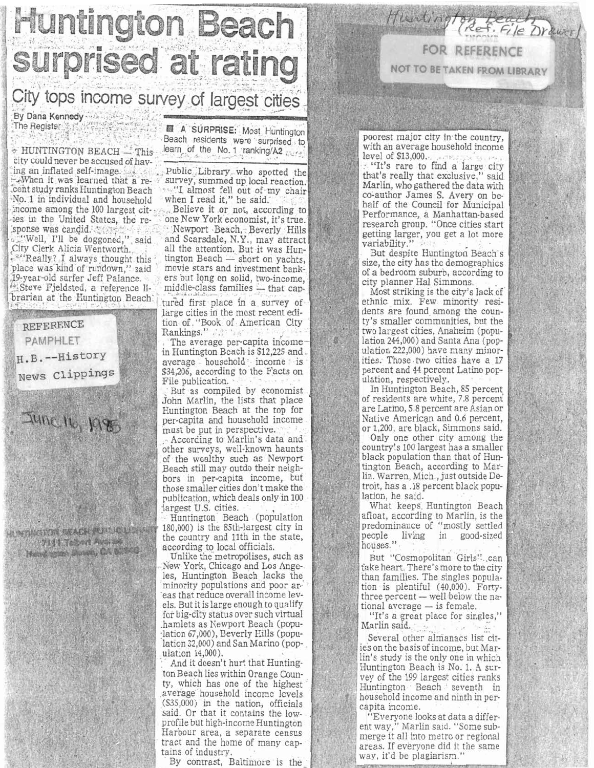**Huntington Beach** surprised at rating

## City tops income survey of largest cities

By Dana Kennedy The Register

+ HUNTINGTON BEACH - This city could never be accused of having an inflated self-image. When it was learned that a recent study ranks Huntington Beach No. 1 in individual and household income among the 100 largest cities in the United States, the re-'sponse was candid.

"Well, I'll be doggoned," said City Clerk Alicia Wentworth. "Really? I always thought this place was kind of rundown," said 19-year-old surfer Jeff Palance. Steve Fjeldsted, a reference librarian at the Huntington Beach.

**REFERENCE** 

**PAMPHLET** 

H.B.--History

News Clippings

June 16, 1985

**RACHARTER ACH WILL CARD 2111 Tolend Average** Head ston Susa, CA 61566

图 A SURPRISE: Most Huntington Beach residents were surprised to learn of the No. 1 ranking/A2

Public Library who spotted the survey, summed up local reaction. "I almost fell out of my chair<br>when I read it," he said.

Believe it or not, according to one New York economist, it's true.

Newport Beach, Beverly Hills<br>and Scarsdale, N.Y., may attract all the attention. But it was Huntington Beach - short on yachts, movie stars and investment bankers but long on solid, two-income, middle-class families - that cap-

tured first place in a survey of large cities in the most recent edition of "Book of American City Rankings."

The average per-capita income in Huntington Beach is \$12,225 and average household income is \$34,206, according to the Facts on File publication.

But as compiled by economist John Marlin, the lists that place Huntington Beach at the top for per-capita and household income must be put in perspective.

According to Marlin's data and other surveys, well-known haunts of the wealthy such as Newport Beach still may outdo their neighbors in per-capita income, but those smaller cities don't make the publication, which deals only in 100 largest U.S. cities.

Huntington Beach (population 180,000) is the 85th-largest city in the country and 11th in the state, according to local officials.

Unlike the metropolises, such as New York, Chicago and Los Angeles, Huntington Beach lacks the minority populations and poor areas that reduce overall income levels. But it is large enough to qualify for big-city status over such virtual hamlets as Newport Beach (population 67,000), Beverly Hills (population 32,000) and San Marino (population 14,000).

And it doesn't hurt that Huntington Beach lies within Orange County, which has one of the highest average household income levels (\$35,000) in the nation, officials said. Or that it contains the lowprofile but high-income Huntington Harbour area, a separate census tract and the home of many captains of industry.

By contrast, Baltimore is the

poorest major city in the country. with an average household income

**FOR REFERENCE** 

**NOT TO BE TAKEN FROM LIBRARY** 

level of \$13,000. "It's rare to find a large city that's really that exclusive," said Marlin, who gathered the data with co-author James S. Avery on behalf of the Council for Municipal Performance, a Manhattan-based research group. "Once cities start getting larger, you get a lot more variability.'

But despite Huntington Beach's size, the city has the demographics of a bedroom suburb, according to city planner Hal Simmons.

Most striking is the city's lack of ethnic mix. Few minority residents are found among the county's smaller communities, but the two largest cities, Anaheim (population 244,000) and Santa Ana (population 222,000) have many minorities. Those two cities have a 17 percent and 44 percent Latino population, respectively.

In Huntington Beach, 85 percent of residents are white, 7.8 percent are Latino, 5.8 percent are Asian or Native American and 0.6 percent, or 1,200, are black, Simmons said.

Only one other city among the country's 100 largest has a smaller black population than that of Huntington Beach, according to Marlin. Warren, Mich., just outside Detroit, has a .18 percent black population, he said.

What keeps Huntington Beach afloat, according to Marlin, is the predominance of "mostly settled people living in good-sized houses."

But "Cosmopolitan Girls" can take heart. There's more to the city than families. The singles population is plentiful (40,000). Fortythree percent — well below the national average - is female.

"It's a great place for singles," Marlin said.

Several other almanacs list cities on the basis of income, but Marlin's study is the only one in which Huntington Beach is No. 1. A survey of the 199 largest cities ranks Huntington Beach seventh in household income and ninth in percapita income.

"Everyone looks at data a different way," Marlin said. "Some sub-<br>merge it all into metro or regional areas. If everyone did it the same way, it'd be plagiarism."